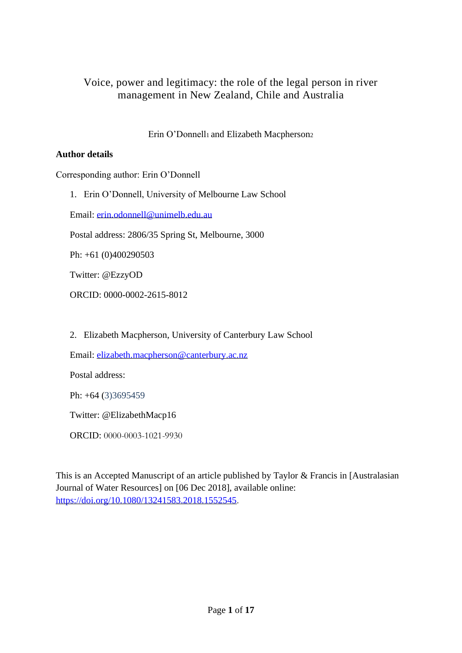# Voice, power and legitimacy: the role of the legal person in river management in New Zealand, Chile and Australia

Erin O'Donnell1 and Elizabeth Macpherson<sup>2</sup>

#### **Author details**

Corresponding author: Erin O'Donnell

1. Erin O'Donnell, University of Melbourne Law School

Email: [erin.odonnell@unimelb.edu.au](mailto:erin.odonnell@unimelb.edu.au)

Postal address: 2806/35 Spring St, Melbourne, 3000

Ph: +61 (0)400290503

Twitter: @EzzyOD

ORCID: 0000-0002-2615-8012

2. Elizabeth Macpherson, University of Canterbury Law School

Email: [elizabeth.macpherson@canterbury.ac.nz](mailto:elizabeth.macpherson@canterbury.ac.nz)

Postal address:

Ph: +64 (3)3695459

Twitter: @ElizabethMacp16

ORCID: 0000-0003-1021-9930

This is an Accepted Manuscript of an article published by Taylor & Francis in [Australasian Journal of Water Resources] on [06 Dec 2018], available online: [https://doi.org/10.1080/13241583.2018.1552545.](https://doi.org/10.1080/13241583.2018.1552545)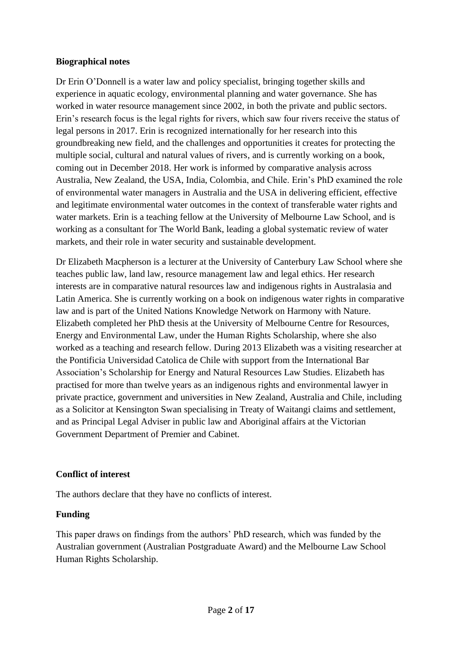#### **Biographical notes**

Dr Erin O'Donnell is a water law and policy specialist, bringing together skills and experience in aquatic ecology, environmental planning and water governance. She has worked in water resource management since 2002, in both the private and public sectors. Erin's research focus is the legal rights for rivers, which saw four rivers receive the status of legal persons in 2017. Erin is recognized internationally for her research into this groundbreaking new field, and the challenges and opportunities it creates for protecting the multiple social, cultural and natural values of rivers, and is currently working on a book, coming out in December 2018. Her work is informed by comparative analysis across Australia, New Zealand, the USA, India, Colombia, and Chile. Erin's PhD examined the role of environmental water managers in Australia and the USA in delivering efficient, effective and legitimate environmental water outcomes in the context of transferable water rights and water markets. Erin is a teaching fellow at the University of Melbourne Law School, and is working as a consultant for The World Bank, leading a global systematic review of water markets, and their role in water security and sustainable development.

Dr Elizabeth Macpherson is a lecturer at the University of Canterbury Law School where she teaches public law, land law, resource management law and legal ethics. Her research interests are in comparative natural resources law and indigenous rights in Australasia and Latin America. She is currently working on a book on indigenous water rights in comparative law and is part of the United Nations Knowledge Network on Harmony with Nature. Elizabeth completed her PhD thesis at the University of Melbourne Centre for Resources, Energy and Environmental Law, under the Human Rights Scholarship, where she also worked as a teaching and research fellow. During 2013 Elizabeth was a visiting researcher at the Pontificia Universidad Catolica de Chile with support from the International Bar Association's Scholarship for Energy and Natural Resources Law Studies. Elizabeth has practised for more than twelve years as an indigenous rights and environmental lawyer in private practice, government and universities in New Zealand, Australia and Chile, including as a Solicitor at Kensington Swan specialising in Treaty of Waitangi claims and settlement, and as Principal Legal Adviser in public law and Aboriginal affairs at the Victorian Government Department of Premier and Cabinet.

### **Conflict of interest**

The authors declare that they have no conflicts of interest.

### **Funding**

This paper draws on findings from the authors' PhD research, which was funded by the Australian government (Australian Postgraduate Award) and the Melbourne Law School Human Rights Scholarship.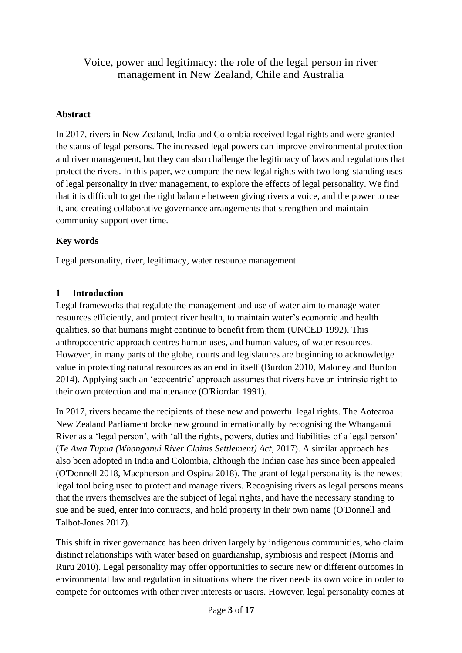# Voice, power and legitimacy: the role of the legal person in river management in New Zealand, Chile and Australia

#### **Abstract**

In 2017, rivers in New Zealand, India and Colombia received legal rights and were granted the status of legal persons. The increased legal powers can improve environmental protection and river management, but they can also challenge the legitimacy of laws and regulations that protect the rivers. In this paper, we compare the new legal rights with two long-standing uses of legal personality in river management, to explore the effects of legal personality. We find that it is difficult to get the right balance between giving rivers a voice, and the power to use it, and creating collaborative governance arrangements that strengthen and maintain community support over time.

#### **Key words**

Legal personality, river, legitimacy, water resource management

#### **1 Introduction**

Legal frameworks that regulate the management and use of water aim to manage water resources efficiently, and protect river health, to maintain water's economic and health qualities, so that humans might continue to benefit from them (UNCED 1992). This anthropocentric approach centres human uses, and human values, of water resources. However, in many parts of the globe, courts and legislatures are beginning to acknowledge value in protecting natural resources as an end in itself (Burdon 2010, Maloney and Burdon 2014). Applying such an 'ecocentric' approach assumes that rivers have an intrinsic right to their own protection and maintenance (O'Riordan 1991).

In 2017, rivers became the recipients of these new and powerful legal rights. The Aotearoa New Zealand Parliament broke new ground internationally by recognising the Whanganui River as a 'legal person', with 'all the rights, powers, duties and liabilities of a legal person' (*Te Awa Tupua (Whanganui River Claims Settlement) Act,* 2017). A similar approach has also been adopted in India and Colombia, although the Indian case has since been appealed (O'Donnell 2018, Macpherson and Ospina 2018). The grant of legal personality is the newest legal tool being used to protect and manage rivers. Recognising rivers as legal persons means that the rivers themselves are the subject of legal rights, and have the necessary standing to sue and be sued, enter into contracts, and hold property in their own name (O'Donnell and Talbot-Jones 2017).

This shift in river governance has been driven largely by indigenous communities, who claim distinct relationships with water based on guardianship, symbiosis and respect (Morris and Ruru 2010). Legal personality may offer opportunities to secure new or different outcomes in environmental law and regulation in situations where the river needs its own voice in order to compete for outcomes with other river interests or users. However, legal personality comes at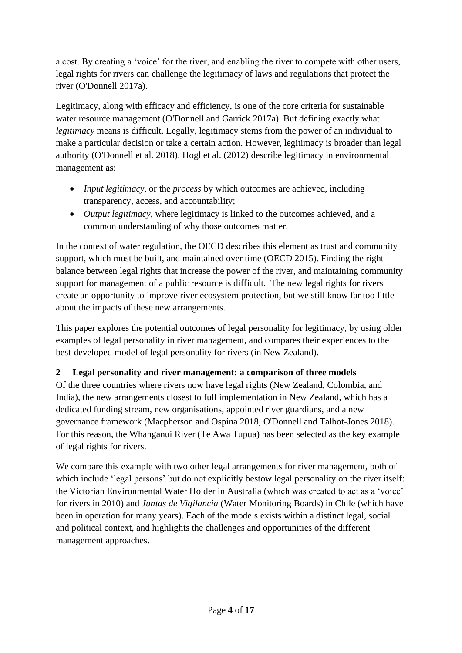a cost. By creating a 'voice' for the river, and enabling the river to compete with other users, legal rights for rivers can challenge the legitimacy of laws and regulations that protect the river (O'Donnell 2017a).

Legitimacy, along with efficacy and efficiency, is one of the core criteria for sustainable water resource management (O'Donnell and Garrick 2017a). But defining exactly what *legitimacy* means is difficult. Legally, legitimacy stems from the power of an individual to make a particular decision or take a certain action. However, legitimacy is broader than legal authority (O'Donnell et al. 2018). Hogl et al. (2012) describe legitimacy in environmental management as:

- *Input legitimacy*, or the *process* by which outcomes are achieved, including transparency, access, and accountability;
- *Output legitimacy*, where legitimacy is linked to the outcomes achieved, and a common understanding of why those outcomes matter.

In the context of water regulation, the OECD describes this element as trust and community support, which must be built, and maintained over time (OECD 2015). Finding the right balance between legal rights that increase the power of the river, and maintaining community support for management of a public resource is difficult. The new legal rights for rivers create an opportunity to improve river ecosystem protection, but we still know far too little about the impacts of these new arrangements.

This paper explores the potential outcomes of legal personality for legitimacy, by using older examples of legal personality in river management, and compares their experiences to the best-developed model of legal personality for rivers (in New Zealand).

# **2 Legal personality and river management: a comparison of three models**

Of the three countries where rivers now have legal rights (New Zealand, Colombia, and India), the new arrangements closest to full implementation in New Zealand, which has a dedicated funding stream, new organisations, appointed river guardians, and a new governance framework (Macpherson and Ospina 2018, O'Donnell and Talbot-Jones 2018). For this reason, the Whanganui River (Te Awa Tupua) has been selected as the key example of legal rights for rivers.

We compare this example with two other legal arrangements for river management, both of which include 'legal persons' but do not explicitly bestow legal personality on the river itself: the Victorian Environmental Water Holder in Australia (which was created to act as a 'voice' for rivers in 2010) and *Juntas de Vigilancia* (Water Monitoring Boards) in Chile (which have been in operation for many years). Each of the models exists within a distinct legal, social and political context, and highlights the challenges and opportunities of the different management approaches.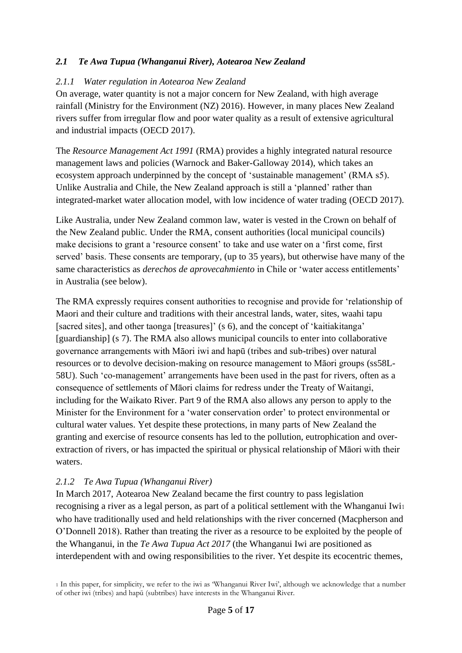# *2.1 Te Awa Tupua (Whanganui River), Aotearoa New Zealand*

#### *2.1.1 Water regulation in Aotearoa New Zealand*

On average, water quantity is not a major concern for New Zealand, with high average rainfall (Ministry for the Environment (NZ) 2016). However, in many places New Zealand rivers suffer from irregular flow and poor water quality as a result of extensive agricultural and industrial impacts (OECD 2017).

The *Resource Management Act 1991* (RMA) provides a highly integrated natural resource management laws and policies (Warnock and Baker-Galloway 2014), which takes an ecosystem approach underpinned by the concept of 'sustainable management' (RMA s5). Unlike Australia and Chile, the New Zealand approach is still a 'planned' rather than integrated-market water allocation model, with low incidence of water trading (OECD 2017).

Like Australia, under New Zealand common law, water is vested in the Crown on behalf of the New Zealand public. Under the RMA, consent authorities (local municipal councils) make decisions to grant a 'resource consent' to take and use water on a 'first come, first served' basis. These consents are temporary, (up to 35 years), but otherwise have many of the same characteristics as *derechos de aprovecahmiento* in Chile or 'water access entitlements' in Australia (see below).

The RMA expressly requires consent authorities to recognise and provide for 'relationship of Maori and their culture and traditions with their ancestral lands, water, sites, waahi tapu [sacred sites], and other taonga [treasures]' (s 6), and the concept of 'kaitiakitanga' [guardianship] (s 7). The RMA also allows municipal councils to enter into collaborative governance arrangements with Māori iwi and hapū (tribes and sub-tribes) over natural resources or to devolve decision-making on resource management to Māori groups (ss58L-58U). Such 'co-management' arrangements have been used in the past for rivers, often as a consequence of settlements of Māori claims for redress under the Treaty of Waitangi, including for the Waikato River. Part 9 of the RMA also allows any person to apply to the Minister for the Environment for a 'water conservation order' to protect environmental or cultural water values. Yet despite these protections, in many parts of New Zealand the granting and exercise of resource consents has led to the pollution, eutrophication and overextraction of rivers, or has impacted the spiritual or physical relationship of Māori with their waters.

### *2.1.2 Te Awa Tupua (Whanganui River)*

In March 2017, Aotearoa New Zealand became the first country to pass legislation recognising a river as a legal person, as part of a political settlement with the Whanganui Iwi1 who have traditionally used and held relationships with the river concerned (Macpherson and O'Donnell 2018). Rather than treating the river as a resource to be exploited by the people of the Whanganui, in the *Te Awa Tupua Act 2017* (the Whanganui Iwi are positioned as interdependent with and owing responsibilities to the river. Yet despite its ecocentric themes,

<sup>1</sup> In this paper, for simplicity, we refer to the iwi as 'Whanganui River Iwi', although we acknowledge that a number of other iwi (tribes) and hapū (subtribes) have interests in the Whanganui River.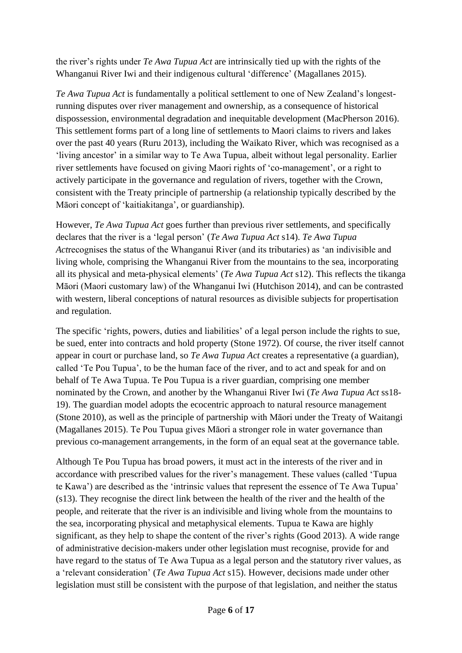the river's rights under *Te Awa Tupua Act* are intrinsically tied up with the rights of the Whanganui River Iwi and their indigenous cultural 'difference' (Magallanes 2015).

*Te Awa Tupua Act* is fundamentally a political settlement to one of New Zealand's longestrunning disputes over river management and ownership, as a consequence of historical dispossession, environmental degradation and inequitable development (MacPherson 2016). This settlement forms part of a long line of settlements to Maori claims to rivers and lakes over the past 40 years (Ruru 2013), including the Waikato River, which was recognised as a 'living ancestor' in a similar way to Te Awa Tupua, albeit without legal personality. Earlier river settlements have focused on giving Maori rights of 'co-management', or a right to actively participate in the governance and regulation of rivers, together with the Crown, consistent with the Treaty principle of partnership (a relationship typically described by the Māori concept of 'kaitiakitanga', or guardianship).

However, *Te Awa Tupua Act* goes further than previous river settlements, and specifically declares that the river is a 'legal person' (*Te Awa Tupua Act* s14). *Te Awa Tupua Act*recognises the status of the Whanganui River (and its tributaries) as 'an indivisible and living whole, comprising the Whanganui River from the mountains to the sea, incorporating all its physical and meta-physical elements' (*Te Awa Tupua Act* s12). This reflects the tikanga Māori (Maori customary law) of the Whanganui Iwi (Hutchison 2014), and can be contrasted with western, liberal conceptions of natural resources as divisible subjects for propertisation and regulation.

The specific 'rights, powers, duties and liabilities' of a legal person include the rights to sue, be sued, enter into contracts and hold property (Stone 1972). Of course, the river itself cannot appear in court or purchase land, so *Te Awa Tupua Act* creates a representative (a guardian), called 'Te Pou Tupua', to be the human face of the river, and to act and speak for and on behalf of Te Awa Tupua. Te Pou Tupua is a river guardian, comprising one member nominated by the Crown, and another by the Whanganui River Iwi (*Te Awa Tupua Act* ss18- 19). The guardian model adopts the ecocentric approach to natural resource management (Stone 2010), as well as the principle of partnership with Māori under the Treaty of Waitangi (Magallanes 2015). Te Pou Tupua gives Māori a stronger role in water governance than previous co-management arrangements, in the form of an equal seat at the governance table.

Although Te Pou Tupua has broad powers, it must act in the interests of the river and in accordance with prescribed values for the river's management. These values (called 'Tupua te Kawa') are described as the 'intrinsic values that represent the essence of Te Awa Tupua' (s13). They recognise the direct link between the health of the river and the health of the people, and reiterate that the river is an indivisible and living whole from the mountains to the sea, incorporating physical and metaphysical elements. Tupua te Kawa are highly significant, as they help to shape the content of the river's rights (Good 2013). A wide range of administrative decision-makers under other legislation must recognise, provide for and have regard to the status of Te Awa Tupua as a legal person and the statutory river values, as a 'relevant consideration' (*Te Awa Tupua Act* s15). However, decisions made under other legislation must still be consistent with the purpose of that legislation, and neither the status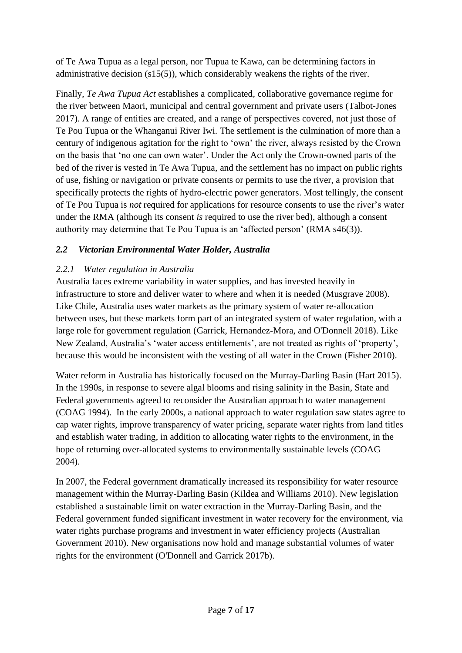of Te Awa Tupua as a legal person, nor Tupua te Kawa, can be determining factors in administrative decision (s15(5)), which considerably weakens the rights of the river.

Finally, *Te Awa Tupua Act* establishes a complicated, collaborative governance regime for the river between Maori, municipal and central government and private users (Talbot-Jones 2017). A range of entities are created, and a range of perspectives covered, not just those of Te Pou Tupua or the Whanganui River Iwi. The settlement is the culmination of more than a century of indigenous agitation for the right to 'own' the river, always resisted by the Crown on the basis that 'no one can own water'. Under the Act only the Crown-owned parts of the bed of the river is vested in Te Awa Tupua, and the settlement has no impact on public rights of use, fishing or navigation or private consents or permits to use the river, a provision that specifically protects the rights of hydro-electric power generators. Most tellingly, the consent of Te Pou Tupua is *not* required for applications for resource consents to use the river's water under the RMA (although its consent *is* required to use the river bed), although a consent authority may determine that Te Pou Tupua is an 'affected person' (RMA s46(3)).

# *2.2 Victorian Environmental Water Holder, Australia*

# *2.2.1 Water regulation in Australia*

Australia faces extreme variability in water supplies, and has invested heavily in infrastructure to store and deliver water to where and when it is needed (Musgrave 2008). Like Chile, Australia uses water markets as the primary system of water re-allocation between uses, but these markets form part of an integrated system of water regulation, with a large role for government regulation (Garrick, Hernandez-Mora, and O'Donnell 2018). Like New Zealand, Australia's 'water access entitlements', are not treated as rights of 'property', because this would be inconsistent with the vesting of all water in the Crown (Fisher 2010).

Water reform in Australia has historically focused on the Murray-Darling Basin (Hart 2015). In the 1990s, in response to severe algal blooms and rising salinity in the Basin, State and Federal governments agreed to reconsider the Australian approach to water management (COAG 1994). In the early 2000s, a national approach to water regulation saw states agree to cap water rights, improve transparency of water pricing, separate water rights from land titles and establish water trading, in addition to allocating water rights to the environment, in the hope of returning over-allocated systems to environmentally sustainable levels (COAG 2004).

In 2007, the Federal government dramatically increased its responsibility for water resource management within the Murray-Darling Basin (Kildea and Williams 2010). New legislation established a sustainable limit on water extraction in the Murray-Darling Basin, and the Federal government funded significant investment in water recovery for the environment, via water rights purchase programs and investment in water efficiency projects (Australian Government 2010). New organisations now hold and manage substantial volumes of water rights for the environment (O'Donnell and Garrick 2017b).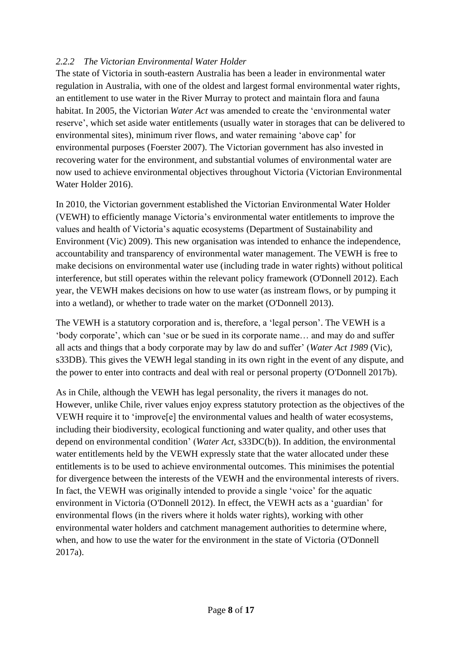# *2.2.2 The Victorian Environmental Water Holder*

The state of Victoria in south-eastern Australia has been a leader in environmental water regulation in Australia, with one of the oldest and largest formal environmental water rights, an entitlement to use water in the River Murray to protect and maintain flora and fauna habitat. In 2005, the Victorian *Water Act* was amended to create the 'environmental water reserve', which set aside water entitlements (usually water in storages that can be delivered to environmental sites), minimum river flows, and water remaining 'above cap' for environmental purposes (Foerster 2007). The Victorian government has also invested in recovering water for the environment, and substantial volumes of environmental water are now used to achieve environmental objectives throughout Victoria (Victorian Environmental Water Holder 2016).

In 2010, the Victorian government established the Victorian Environmental Water Holder (VEWH) to efficiently manage Victoria's environmental water entitlements to improve the values and health of Victoria's aquatic ecosystems (Department of Sustainability and Environment (Vic) 2009). This new organisation was intended to enhance the independence, accountability and transparency of environmental water management. The VEWH is free to make decisions on environmental water use (including trade in water rights) without political interference, but still operates within the relevant policy framework (O'Donnell 2012). Each year, the VEWH makes decisions on how to use water (as instream flows, or by pumping it into a wetland), or whether to trade water on the market (O'Donnell 2013).

The VEWH is a statutory corporation and is, therefore, a 'legal person'. The VEWH is a 'body corporate', which can 'sue or be sued in its corporate name… and may do and suffer all acts and things that a body corporate may by law do and suffer' (*Water Act 1989* (Vic), s33DB). This gives the VEWH legal standing in its own right in the event of any dispute, and the power to enter into contracts and deal with real or personal property (O'Donnell 2017b).

As in Chile, although the VEWH has legal personality, the rivers it manages do not. However, unlike Chile, river values enjoy express statutory protection as the objectives of the VEWH require it to 'improve[e] the environmental values and health of water ecosystems, including their biodiversity, ecological functioning and water quality, and other uses that depend on environmental condition' (*Water Act*, s33DC(b)). In addition, the environmental water entitlements held by the VEWH expressly state that the water allocated under these entitlements is to be used to achieve environmental outcomes. This minimises the potential for divergence between the interests of the VEWH and the environmental interests of rivers. In fact, the VEWH was originally intended to provide a single 'voice' for the aquatic environment in Victoria (O'Donnell 2012). In effect, the VEWH acts as a 'guardian' for environmental flows (in the rivers where it holds water rights), working with other environmental water holders and catchment management authorities to determine where, when, and how to use the water for the environment in the state of Victoria (O'Donnell 2017a).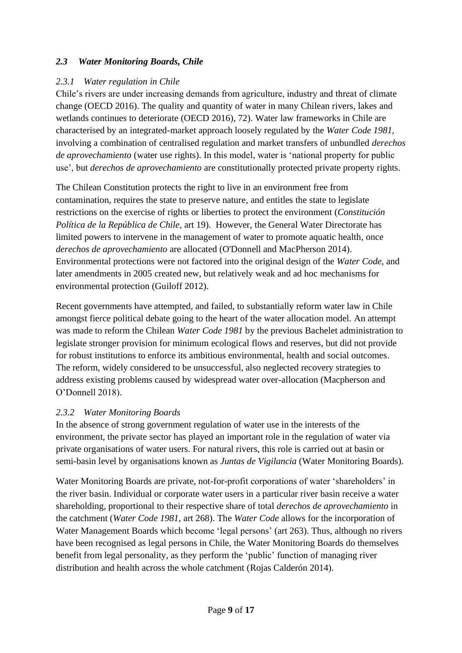# *2.3 Water Monitoring Boards, Chile*

### *2.3.1 Water regulation in Chile*

Chile's rivers are under increasing demands from agriculture, industry and threat of climate change (OECD 2016). The quality and quantity of water in many Chilean rivers, lakes and wetlands continues to deteriorate (OECD 2016), 72). Water law frameworks in Chile are characterised by an integrated-market approach loosely regulated by the *Water Code 1981*, involving a combination of centralised regulation and market transfers of unbundled *derechos de aprovechamiento* (water use rights). In this model, water is 'national property for public use', but *derechos de aprovechamiento* are constitutionally protected private property rights.

The Chilean Constitution protects the right to live in an environment free from contamination, requires the state to preserve nature, and entitles the state to legislate restrictions on the exercise of rights or liberties to protect the environment (*Constitución Política de la República de Chile,* art 19). However, the General Water Directorate has limited powers to intervene in the management of water to promote aquatic health, once *derechos de aprovechamiento* are allocated (O'Donnell and MacPherson 2014). Environmental protections were not factored into the original design of the *Water Code*, and later amendments in 2005 created new, but relatively weak and ad hoc mechanisms for environmental protection (Guiloff 2012).

Recent governments have attempted, and failed, to substantially reform water law in Chile amongst fierce political debate going to the heart of the water allocation model. An attempt was made to reform the Chilean *Water Code 1981* by the previous Bachelet administration to legislate stronger provision for minimum ecological flows and reserves, but did not provide for robust institutions to enforce its ambitious environmental, health and social outcomes. The reform, widely considered to be unsuccessful, also neglected recovery strategies to address existing problems caused by widespread water over-allocation (Macpherson and O'Donnell 2018).

### *2.3.2 Water Monitoring Boards*

In the absence of strong government regulation of water use in the interests of the environment, the private sector has played an important role in the regulation of water via private organisations of water users. For natural rivers, this role is carried out at basin or semi-basin level by organisations known as *Juntas de Vigilancia* (Water Monitoring Boards).

Water Monitoring Boards are private, not-for-profit corporations of water 'shareholders' in the river basin. Individual or corporate water users in a particular river basin receive a water shareholding, proportional to their respective share of total *derechos de aprovechamiento* in the catchment (*Water Code 1981*, art 268). The *Water Code* allows for the incorporation of Water Management Boards which become 'legal persons' (art 263). Thus, although no rivers have been recognised as legal persons in Chile, the Water Monitoring Boards do themselves benefit from legal personality, as they perform the 'public' function of managing river distribution and health across the whole catchment (Rojas Calderón 2014).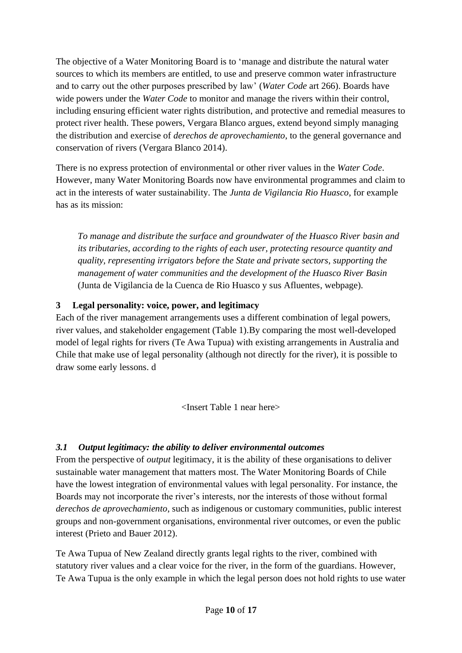The objective of a Water Monitoring Board is to 'manage and distribute the natural water sources to which its members are entitled, to use and preserve common water infrastructure and to carry out the other purposes prescribed by law' (*Water Code* art 266). Boards have wide powers under the *Water Code* to monitor and manage the rivers within their control, including ensuring efficient water rights distribution, and protective and remedial measures to protect river health. These powers, Vergara Blanco argues, extend beyond simply managing the distribution and exercise of *derechos de aprovechamiento*, to the general governance and conservation of rivers (Vergara Blanco 2014).

There is no express protection of environmental or other river values in the *Water Code*. However, many Water Monitoring Boards now have environmental programmes and claim to act in the interests of water sustainability. The *Junta de Vigilancia Rio Huasco*, for example has as its mission:

*To manage and distribute the surface and groundwater of the Huasco River basin and its tributaries, according to the rights of each user, protecting resource quantity and quality, representing irrigators before the State and private sectors, supporting the management of water communities and the development of the Huasco River Basin*  (Junta de Vigilancia de la Cuenca de Rio Huasco y sus Afluentes, webpage).

# **3 Legal personality: voice, power, and legitimacy**

Each of the river management arrangements uses a different combination of legal powers, river values, and stakeholder engagement (Table 1).By comparing the most well-developed model of legal rights for rivers (Te Awa Tupua) with existing arrangements in Australia and Chile that make use of legal personality (although not directly for the river), it is possible to draw some early lessons. d

<Insert Table 1 near here>

# *3.1 Output legitimacy: the ability to deliver environmental outcomes*

From the perspective of *output* legitimacy, it is the ability of these organisations to deliver sustainable water management that matters most. The Water Monitoring Boards of Chile have the lowest integration of environmental values with legal personality. For instance, the Boards may not incorporate the river's interests, nor the interests of those without formal *derechos de aprovechamiento*, such as indigenous or customary communities, public interest groups and non-government organisations, environmental river outcomes, or even the public interest (Prieto and Bauer 2012).

Te Awa Tupua of New Zealand directly grants legal rights to the river, combined with statutory river values and a clear voice for the river, in the form of the guardians. However, Te Awa Tupua is the only example in which the legal person does not hold rights to use water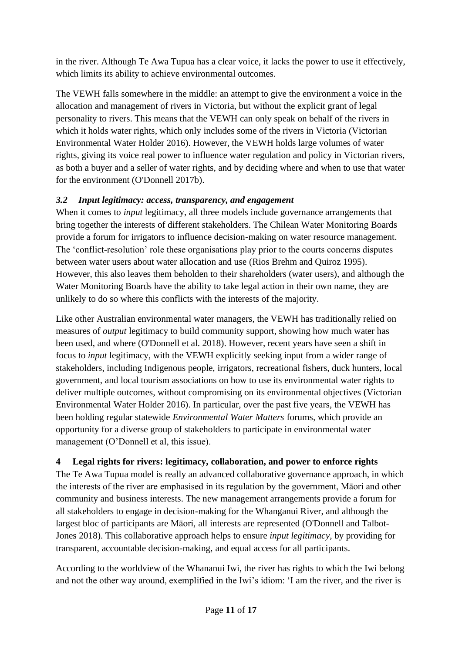in the river. Although Te Awa Tupua has a clear voice, it lacks the power to use it effectively, which limits its ability to achieve environmental outcomes.

The VEWH falls somewhere in the middle: an attempt to give the environment a voice in the allocation and management of rivers in Victoria, but without the explicit grant of legal personality to rivers. This means that the VEWH can only speak on behalf of the rivers in which it holds water rights, which only includes some of the rivers in Victoria (Victorian Environmental Water Holder 2016). However, the VEWH holds large volumes of water rights, giving its voice real power to influence water regulation and policy in Victorian rivers, as both a buyer and a seller of water rights, and by deciding where and when to use that water for the environment (O'Donnell 2017b).

# *3.2 Input legitimacy: access, transparency, and engagement*

When it comes to *input* legitimacy, all three models include governance arrangements that bring together the interests of different stakeholders. The Chilean Water Monitoring Boards provide a forum for irrigators to influence decision-making on water resource management. The 'conflict-resolution' role these organisations play prior to the courts concerns disputes between water users about water allocation and use (Rios Brehm and Quiroz 1995). However, this also leaves them beholden to their shareholders (water users), and although the Water Monitoring Boards have the ability to take legal action in their own name, they are unlikely to do so where this conflicts with the interests of the majority.

Like other Australian environmental water managers, the VEWH has traditionally relied on measures of *output* legitimacy to build community support, showing how much water has been used, and where (O'Donnell et al. 2018). However, recent years have seen a shift in focus to *input* legitimacy, with the VEWH explicitly seeking input from a wider range of stakeholders, including Indigenous people, irrigators, recreational fishers, duck hunters, local government, and local tourism associations on how to use its environmental water rights to deliver multiple outcomes, without compromising on its environmental objectives (Victorian Environmental Water Holder 2016). In particular, over the past five years, the VEWH has been holding regular statewide *Environmental Water Matters* forums, which provide an opportunity for a diverse group of stakeholders to participate in environmental water management (O'Donnell et al, this issue).

# **4 Legal rights for rivers: legitimacy, collaboration, and power to enforce rights**

The Te Awa Tupua model is really an advanced collaborative governance approach, in which the interests of the river are emphasised in its regulation by the government, Māori and other community and business interests. The new management arrangements provide a forum for all stakeholders to engage in decision-making for the Whanganui River, and although the largest bloc of participants are Māori, all interests are represented (O'Donnell and Talbot-Jones 2018). This collaborative approach helps to ensure *input legitimacy,* by providing for transparent, accountable decision-making, and equal access for all participants.

According to the worldview of the Whananui Iwi, the river has rights to which the Iwi belong and not the other way around, exemplified in the Iwi's idiom: 'I am the river, and the river is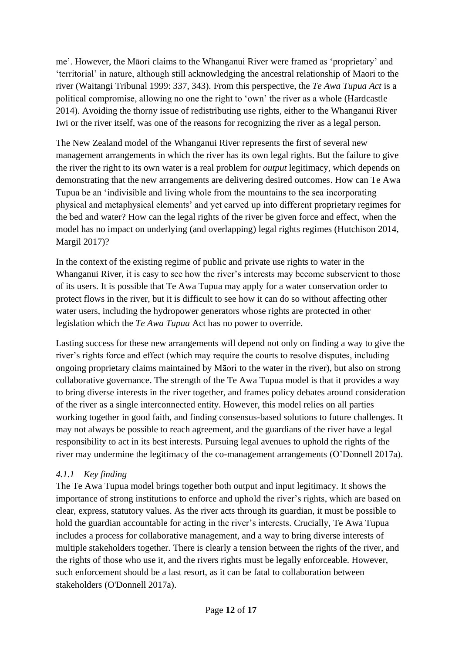me'. However, the Māori claims to the Whanganui River were framed as 'proprietary' and 'territorial' in nature, although still acknowledging the ancestral relationship of Maori to the river (Waitangi Tribunal 1999: 337, 343). From this perspective, the *Te Awa Tupua Act* is a political compromise, allowing no one the right to 'own' the river as a whole (Hardcastle 2014). Avoiding the thorny issue of redistributing use rights, either to the Whanganui River Iwi or the river itself, was one of the reasons for recognizing the river as a legal person.

The New Zealand model of the Whanganui River represents the first of several new management arrangements in which the river has its own legal rights. But the failure to give the river the right to its own water is a real problem for *output* legitimacy, which depends on demonstrating that the new arrangements are delivering desired outcomes. How can Te Awa Tupua be an 'indivisible and living whole from the mountains to the sea incorporating physical and metaphysical elements' and yet carved up into different proprietary regimes for the bed and water? How can the legal rights of the river be given force and effect, when the model has no impact on underlying (and overlapping) legal rights regimes (Hutchison 2014, Margil 2017)?

In the context of the existing regime of public and private use rights to water in the Whanganui River, it is easy to see how the river's interests may become subservient to those of its users. It is possible that Te Awa Tupua may apply for a water conservation order to protect flows in the river, but it is difficult to see how it can do so without affecting other water users, including the hydropower generators whose rights are protected in other legislation which the *Te Awa Tupua* Act has no power to override.

Lasting success for these new arrangements will depend not only on finding a way to give the river's rights force and effect (which may require the courts to resolve disputes, including ongoing proprietary claims maintained by Māori to the water in the river), but also on strong collaborative governance. The strength of the Te Awa Tupua model is that it provides a way to bring diverse interests in the river together, and frames policy debates around consideration of the river as a single interconnected entity. However, this model relies on all parties working together in good faith, and finding consensus-based solutions to future challenges. It may not always be possible to reach agreement, and the guardians of the river have a legal responsibility to act in its best interests. Pursuing legal avenues to uphold the rights of the river may undermine the legitimacy of the co-management arrangements (O'Donnell 2017a).

### *4.1.1 Key finding*

The Te Awa Tupua model brings together both output and input legitimacy. It shows the importance of strong institutions to enforce and uphold the river's rights, which are based on clear, express, statutory values. As the river acts through its guardian, it must be possible to hold the guardian accountable for acting in the river's interests. Crucially, Te Awa Tupua includes a process for collaborative management, and a way to bring diverse interests of multiple stakeholders together. There is clearly a tension between the rights of the river, and the rights of those who use it, and the rivers rights must be legally enforceable. However, such enforcement should be a last resort, as it can be fatal to collaboration between stakeholders (O'Donnell 2017a).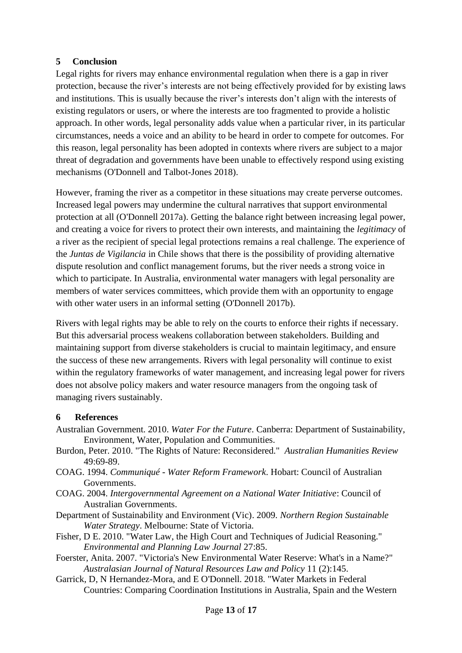### **5 Conclusion**

Legal rights for rivers may enhance environmental regulation when there is a gap in river protection, because the river's interests are not being effectively provided for by existing laws and institutions. This is usually because the river's interests don't align with the interests of existing regulators or users, or where the interests are too fragmented to provide a holistic approach. In other words, legal personality adds value when a particular river, in its particular circumstances, needs a voice and an ability to be heard in order to compete for outcomes. For this reason, legal personality has been adopted in contexts where rivers are subject to a major threat of degradation and governments have been unable to effectively respond using existing mechanisms (O'Donnell and Talbot-Jones 2018).

However, framing the river as a competitor in these situations may create perverse outcomes. Increased legal powers may undermine the cultural narratives that support environmental protection at all (O'Donnell 2017a). Getting the balance right between increasing legal power, and creating a voice for rivers to protect their own interests, and maintaining the *legitimacy* of a river as the recipient of special legal protections remains a real challenge. The experience of the *Juntas de Vigilancia* in Chile shows that there is the possibility of providing alternative dispute resolution and conflict management forums, but the river needs a strong voice in which to participate. In Australia, environmental water managers with legal personality are members of water services committees, which provide them with an opportunity to engage with other water users in an informal setting (O'Donnell 2017b).

Rivers with legal rights may be able to rely on the courts to enforce their rights if necessary. But this adversarial process weakens collaboration between stakeholders. Building and maintaining support from diverse stakeholders is crucial to maintain legitimacy, and ensure the success of these new arrangements. Rivers with legal personality will continue to exist within the regulatory frameworks of water management, and increasing legal power for rivers does not absolve policy makers and water resource managers from the ongoing task of managing rivers sustainably.

### **6 References**

- Australian Government. 2010. *Water For the Future*. Canberra: Department of Sustainability, Environment, Water, Population and Communities.
- Burdon, Peter. 2010. "The Rights of Nature: Reconsidered." *Australian Humanities Review* 49:69-89.
- COAG. 1994. *Communiqué - Water Reform Framework*. Hobart: Council of Australian Governments.
- COAG. 2004. *Intergovernmental Agreement on a National Water Initiative*: Council of Australian Governments.
- Department of Sustainability and Environment (Vic). 2009. *Northern Region Sustainable Water Strategy*. Melbourne: State of Victoria.
- Fisher, D E. 2010. "Water Law, the High Court and Techniques of Judicial Reasoning." *Environmental and Planning Law Journal* 27:85.
- Foerster, Anita. 2007. "Victoria's New Environmental Water Reserve: What's in a Name?" *Australasian Journal of Natural Resources Law and Policy* 11 (2):145.
- Garrick, D, N Hernandez-Mora, and E O'Donnell. 2018. "Water Markets in Federal Countries: Comparing Coordination Institutions in Australia, Spain and the Western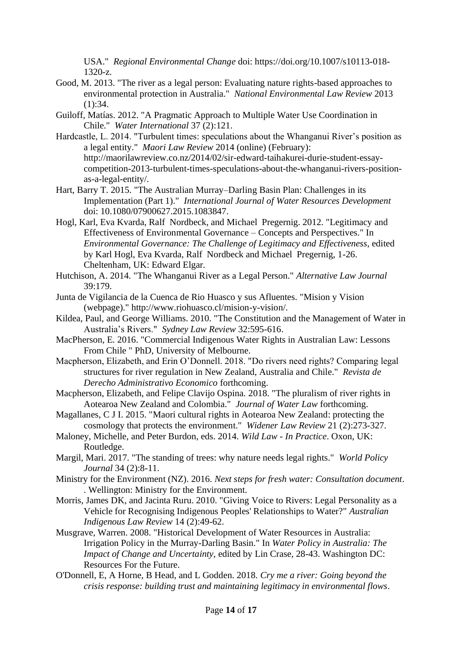USA." *Regional Environmental Change* doi: https://doi.org/10.1007/s10113-018- 1320-z.

- Good, M. 2013. "The river as a legal person: Evaluating nature rights-based approaches to environmental protection in Australia." *National Environmental Law Review* 2013  $(1):34.$
- Guiloff, Matías. 2012. "A Pragmatic Approach to Multiple Water Use Coordination in Chile." *Water International* 37 (2):121.
- Hardcastle, L. 2014. "Turbulent times: speculations about the Whanganui River's position as a legal entity." *Maori Law Review* 2014 (online) (February): http://maorilawreview.co.nz/2014/02/sir-edward-taihakurei-durie-student-essaycompetition-2013-turbulent-times-speculations-about-the-whanganui-rivers-positionas-a-legal-entity/.
- Hart, Barry T. 2015. "The Australian Murray–Darling Basin Plan: Challenges in its Implementation (Part 1)." *International Journal of Water Resources Development* doi: 10.1080/07900627.2015.1083847.
- Hogl, Karl, Eva Kvarda, Ralf Nordbeck, and Michael Pregernig. 2012. "Legitimacy and Effectiveness of Environmental Governance – Concepts and Perspectives." In *Environmental Governance: The Challenge of Legitimacy and Effectiveness*, edited by Karl Hogl, Eva Kvarda, Ralf Nordbeck and Michael Pregernig, 1-26. Cheltenham, UK: Edward Elgar.
- Hutchison, A. 2014. "The Whanganui River as a Legal Person." *Alternative Law Journal* 39:179.
- Junta de Vigilancia de la Cuenca de Rio Huasco y sus Afluentes. "Mision y Vision (webpage)." http://www.riohuasco.cl/mision-y-vision/.
- Kildea, Paul, and George Williams. 2010. "The Constitution and the Management of Water in Australia's Rivers." *Sydney Law Review* 32:595-616.
- MacPherson, E. 2016. "Commercial Indigenous Water Rights in Australian Law: Lessons From Chile " PhD, University of Melbourne.
- Macpherson, Elizabeth, and Erin O'Donnell. 2018. "Do rivers need rights? Comparing legal structures for river regulation in New Zealand, Australia and Chile." *Revista de Derecho Administrativo Economico* forthcoming.
- Macpherson, Elizabeth, and Felipe Clavijo Ospina. 2018. "The pluralism of river rights in Aotearoa New Zealand and Colombia." *Journal of Water Law* forthcoming.
- Magallanes, C J I. 2015. "Maori cultural rights in Aotearoa New Zealand: protecting the cosmology that protects the environment." *Widener Law Review* 21 (2):273-327.
- Maloney, Michelle, and Peter Burdon, eds. 2014. *Wild Law - In Practice*. Oxon, UK: Routledge.
- Margil, Mari. 2017. "The standing of trees: why nature needs legal rights." *World Policy Journal* 34 (2):8-11.
- Ministry for the Environment (NZ). 2016. *Next steps for fresh water: Consultation document*. . Wellington: Ministry for the Environment.
- Morris, James DK, and Jacinta Ruru. 2010. "Giving Voice to Rivers: Legal Personality as a Vehicle for Recognising Indigenous Peoples' Relationships to Water?" *Australian Indigenous Law Review* 14 (2):49-62.
- Musgrave, Warren. 2008. "Historical Development of Water Resources in Australia: Irrigation Policy in the Murray-Darling Basin." In *Water Policy in Australia: The Impact of Change and Uncertainty*, edited by Lin Crase, 28-43. Washington DC: Resources For the Future.
- O'Donnell, E, A Horne, B Head, and L Godden. 2018. *Cry me a river: Going beyond the crisis response: building trust and maintaining legitimacy in environmental flows*.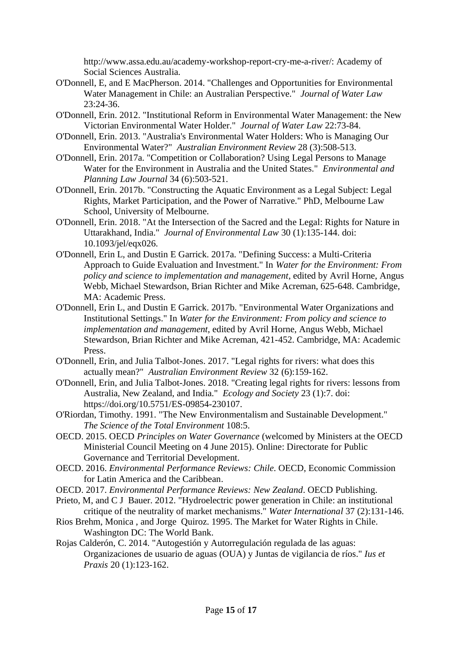http://www.assa.edu.au/academy-workshop-report-cry-me-a-river/: Academy of Social Sciences Australia.

- O'Donnell, E, and E MacPherson. 2014. "Challenges and Opportunities for Environmental Water Management in Chile: an Australian Perspective." *Journal of Water Law* 23:24-36.
- O'Donnell, Erin. 2012. "Institutional Reform in Environmental Water Management: the New Victorian Environmental Water Holder." *Journal of Water Law* 22:73-84.
- O'Donnell, Erin. 2013. "Australia's Environmental Water Holders: Who is Managing Our Environmental Water?" *Australian Environment Review* 28 (3):508-513.
- O'Donnell, Erin. 2017a. "Competition or Collaboration? Using Legal Persons to Manage Water for the Environment in Australia and the United States." *Environmental and Planning Law Journal* 34 (6):503-521.
- O'Donnell, Erin. 2017b. "Constructing the Aquatic Environment as a Legal Subject: Legal Rights, Market Participation, and the Power of Narrative." PhD, Melbourne Law School, University of Melbourne.
- O'Donnell, Erin. 2018. "At the Intersection of the Sacred and the Legal: Rights for Nature in Uttarakhand, India." *Journal of Environmental Law* 30 (1):135-144. doi: 10.1093/jel/eqx026.
- O'Donnell, Erin L, and Dustin E Garrick. 2017a. "Defining Success: a Multi-Criteria Approach to Guide Evaluation and Investment." In *Water for the Environment: From policy and science to implementation and management*, edited by Avril Horne, Angus Webb, Michael Stewardson, Brian Richter and Mike Acreman, 625-648. Cambridge, MA: Academic Press.
- O'Donnell, Erin L, and Dustin E Garrick. 2017b. "Environmental Water Organizations and Institutional Settings." In *Water for the Environment: From policy and science to implementation and management*, edited by Avril Horne, Angus Webb, Michael Stewardson, Brian Richter and Mike Acreman, 421-452. Cambridge, MA: Academic Press.
- O'Donnell, Erin, and Julia Talbot-Jones. 2017. "Legal rights for rivers: what does this actually mean?" *Australian Environment Review* 32 (6):159-162.
- O'Donnell, Erin, and Julia Talbot-Jones. 2018. "Creating legal rights for rivers: lessons from Australia, New Zealand, and India." *Ecology and Society* 23 (1):7. doi: https://doi.org/10.5751/ES-09854-230107.
- O'Riordan, Timothy. 1991. "The New Environmentalism and Sustainable Development." *The Science of the Total Environment* 108:5.
- OECD. 2015. OECD *Principles on Water Governance* (welcomed by Ministers at the OECD Ministerial Council Meeting on 4 June 2015). Online: Directorate for Public Governance and Territorial Development.
- OECD. 2016. *Environmental Performance Reviews: Chile*. OECD, Economic Commission for Latin America and the Caribbean.
- OECD. 2017. *Environmental Performance Reviews: New Zealand*. OECD Publishing.
- Prieto, M, and C J Bauer. 2012. "Hydroelectric power generation in Chile: an institutional critique of the neutrality of market mechanisms." *Water International* 37 (2):131-146.
- Rios Brehm, Monica , and Jorge Quiroz. 1995. The Market for Water Rights in Chile. Washington DC: The World Bank.
- Rojas Calderón, C. 2014. "Autogestión y Autorregulación regulada de las aguas: Organizaciones de usuario de aguas (OUA) y Juntas de vigilancia de ríos." *Ius et Praxis* 20 (1):123-162.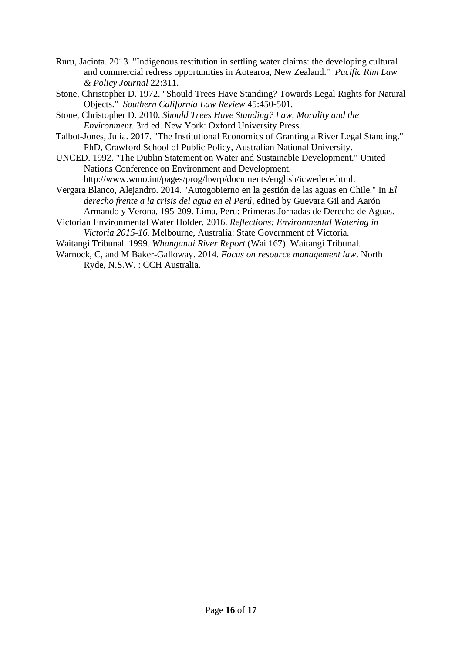- Ruru, Jacinta. 2013. "Indigenous restitution in settling water claims: the developing cultural and commercial redress opportunities in Aotearoa, New Zealand." *Pacific Rim Law & Policy Journal* 22:311.
- Stone, Christopher D. 1972. "Should Trees Have Standing? Towards Legal Rights for Natural Objects." *Southern California Law Review* 45:450-501.
- Stone, Christopher D. 2010. *Should Trees Have Standing? Law, Morality and the Environment*. 3rd ed. New York: Oxford University Press.
- Talbot-Jones, Julia. 2017. "The Institutional Economics of Granting a River Legal Standing." PhD, Crawford School of Public Policy, Australian National University.
- UNCED. 1992. "The Dublin Statement on Water and Sustainable Development." United Nations Conference on Environment and Development. http://www.wmo.int/pages/prog/hwrp/documents/english/icwedece.html.
- Vergara Blanco, Alejandro. 2014. "Autogobierno en la gestión de las aguas en Chile." In *El derecho frente a la crisis del agua en el Perú*, edited by Guevara Gil and Aarón Armando y Verona, 195-209. Lima, Peru: Primeras Jornadas de Derecho de Aguas.
- Victorian Environmental Water Holder. 2016. *Reflections: Environmental Watering in Victoria 2015-16.* Melbourne, Australia: State Government of Victoria.
- Waitangi Tribunal. 1999. *Whanganui River Report* (Wai 167). Waitangi Tribunal.
- Warnock, C, and M Baker-Galloway. 2014. *Focus on resource management law*. North Ryde, N.S.W. : CCH Australia.